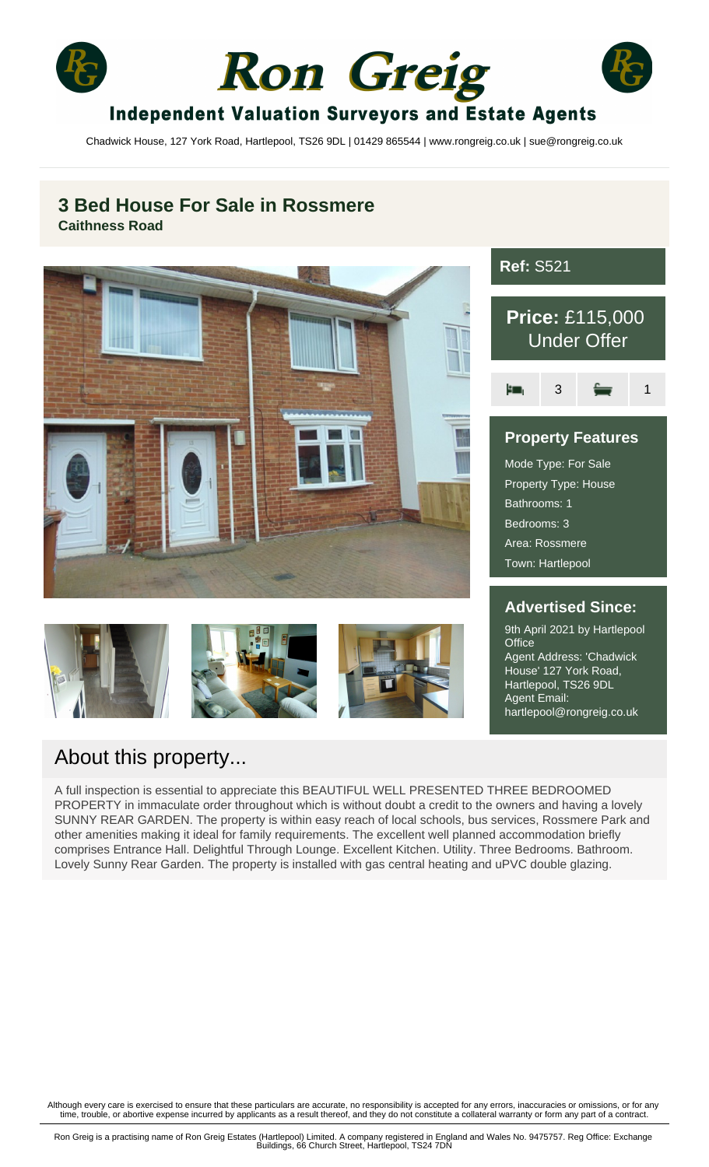





## **Independent Valuation Surveyors and Estate Agents**

Chadwick House, 127 York Road, Hartlepool, TS26 9DL | 01429 865544 | www.rongreig.co.uk | sue@rongreig.co.uk

## **3 Bed House For Sale in Rossmere Caithness Road**









# **Ref:** S521 **Price:** £115,000 Under Offer Ŀш.  $3 \equiv 1$ **Property Features**

Mode Type: For Sale Property Type: House Bathrooms: 1 Bedrooms: 3 Area: Rossmere Town: Hartlepool

## **Advertised Since:**

9th April 2021 by Hartlepool **Office** Agent Address: 'Chadwick House' 127 York Road, Hartlepool, TS26 9DL Agent Email: hartlepool@rongreig.co.uk

## About this property...

A full inspection is essential to appreciate this BEAUTIFUL WELL PRESENTED THREE BEDROOMED PROPERTY in immaculate order throughout which is without doubt a credit to the owners and having a lovely SUNNY REAR GARDEN. The property is within easy reach of local schools, bus services, Rossmere Park and other amenities making it ideal for family requirements. The excellent well planned accommodation briefly comprises Entrance Hall. Delightful Through Lounge. Excellent Kitchen. Utility. Three Bedrooms. Bathroom. Lovely Sunny Rear Garden. The property is installed with gas central heating and uPVC double glazing.

Although every care is exercised to ensure that these particulars are accurate, no responsibility is accepted for any errors, inaccuracies or omissions, or for any<br>time, trouble, or abortive expense incurred by applicants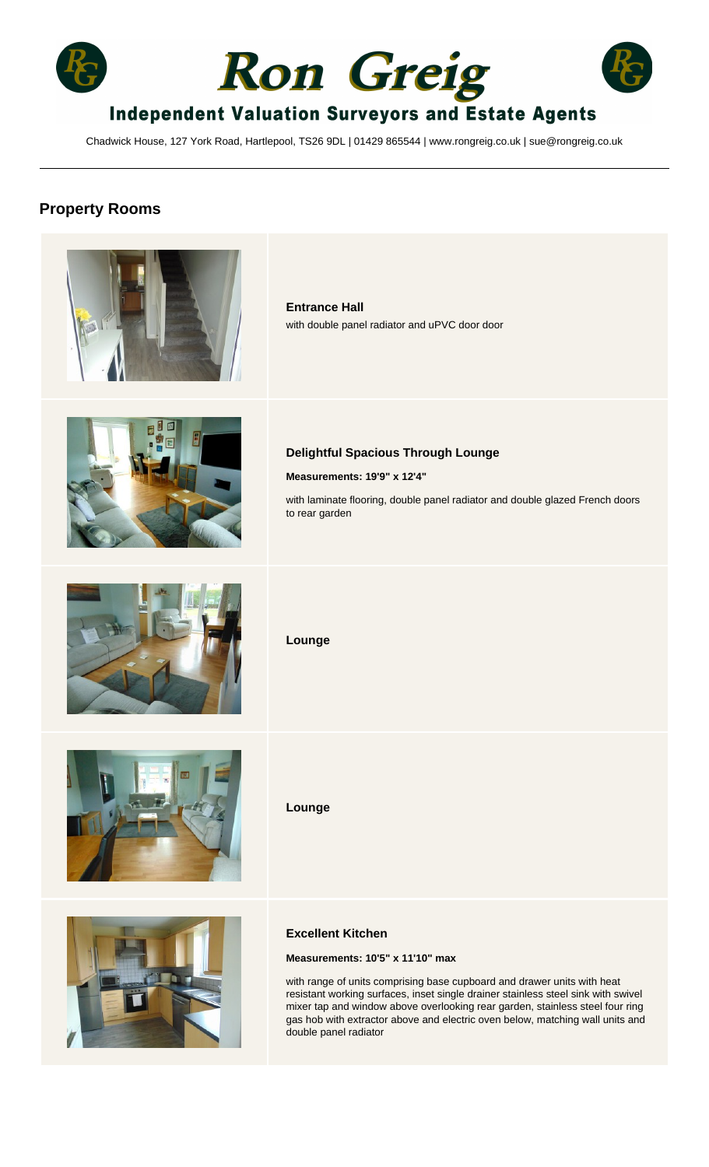





# **Independent Valuation Surveyors and Estate Agents**

Chadwick House, 127 York Road, Hartlepool, TS26 9DL | 01429 865544 | www.rongreig.co.uk | sue@rongreig.co.uk

## **Property Rooms**

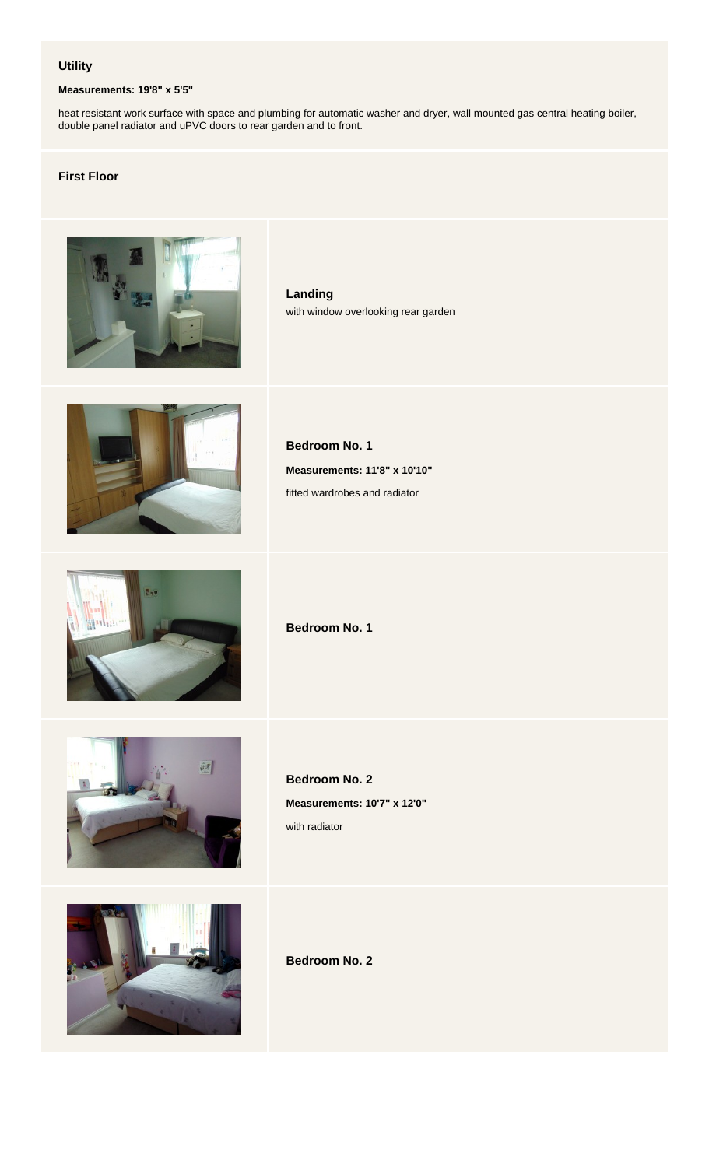#### **Utility**

#### **Measurements: 19'8" x 5'5"**

heat resistant work surface with space and plumbing for automatic washer and dryer, wall mounted gas central heating boiler, double panel radiator and uPVC doors to rear garden and to front.

#### **First Floor**



**Landing** with window overlooking rear garden



**Bedroom No. 1 Measurements: 11'8" x 10'10"** fitted wardrobes and radiator



**Bedroom No. 1**



**Bedroom No. 2 Measurements: 10'7" x 12'0"** with radiator



**Bedroom No. 2**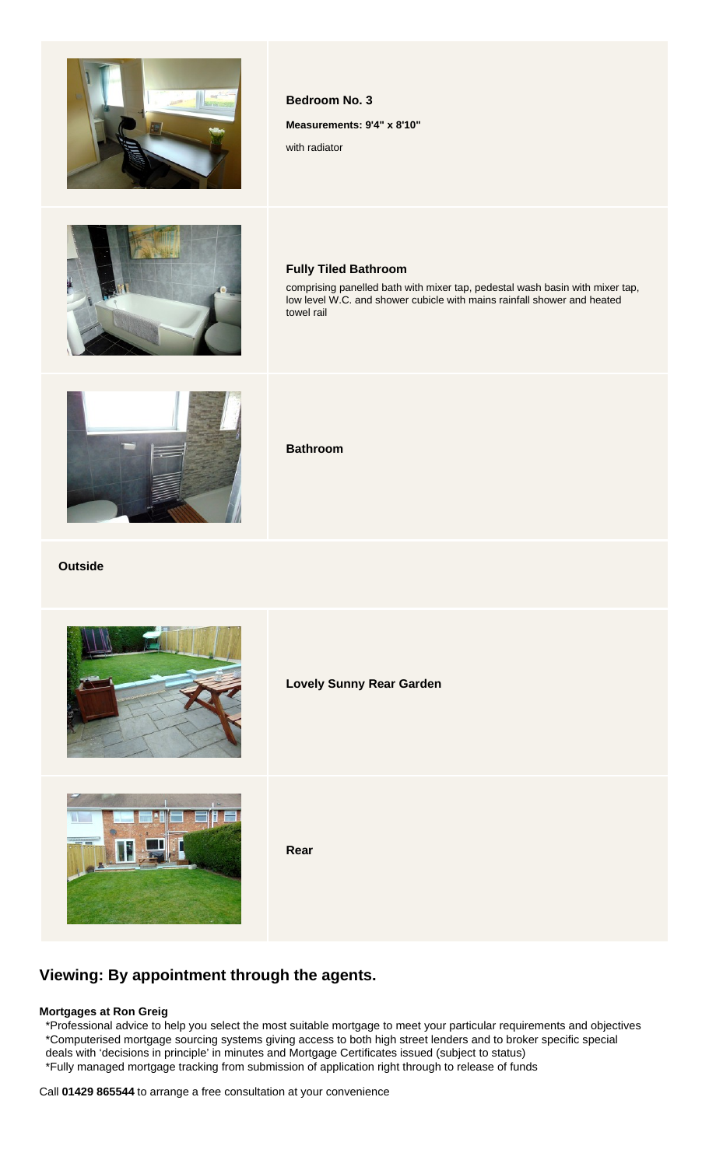



# **Fully Tiled Bathroom**

**Bedroom No. 3**

with radiator

**Measurements: 9'4" x 8'10"**

comprising panelled bath with mixer tap, pedestal wash basin with mixer tap, low level W.C. and shower cubicle with mains rainfall shower and heated towel rail



**Bathroom**

#### **Outside**



**Lovely Sunny Rear Garden**



**Rear**

### **Viewing: By appointment through the agents.**

#### **Mortgages at Ron Greig**

 \*Professional advice to help you select the most suitable mortgage to meet your particular requirements and objectives \*Computerised mortgage sourcing systems giving access to both high street lenders and to broker specific special deals with 'decisions in principle' in minutes and Mortgage Certificates issued (subject to status) \*Fully managed mortgage tracking from submission of application right through to release of funds

Call **01429 865544** to arrange a free consultation at your convenience